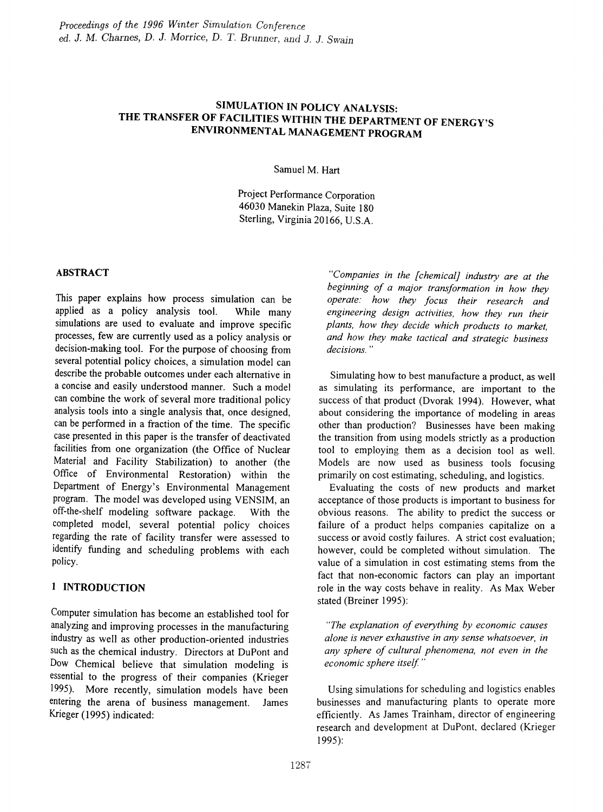# SIMULATION IN POLICY ANALYSIS: THE TRANSFER OF FACILITIES WITHIN THE DEPARTMENT OF ENERGY'S ENVIRONMENTAL MANAGEMENT PROGRAM

Samuel M. Hart

Project Performance Corporation 46030 Manekin Plaza, Suite 180 Sterling, Virginia 20166, U.S.A.

# ABSTRACT

This paper explains how process simulation can be applied as a policy analysis tool. While many simulations are used to evaluate and improve specific processes, few are currently used as a policy analysis or decision-making tool. For the purpose of choosing from several potential policy choices, a simulation model can describe the probable outcomes under each alternative in a concise and easily understood manner. Such a model can combine the work of several more traditional policy analysis tools into a single analysis that, once designed, can be performed in a fraction of the time. The specific case presented in this paper is the transfer of deactivated facilities from one organization (the Office of Nuclear Material and Facility Stabilization) to another (the Office of Environmental Restoration) within the Department of Energy's Environmental Management program. The model was developed using VENSIM, an off-the-shelf modeling software package. With the completed model, several potential policy choices regarding the rate of facility transfer were assessed to identify funding and scheduling problems with each policy.

# 1 INTRODUCTION

Computer simulation has become an established tool for analyzing and improving processes in the manufacturing industry as well as other production-oriented industries such as the chemical industry. Directors at DuPont and Dow Chemical believe that simulation modeling is essential to the progress of their companies (Krieger 1995). More recently, simulation models have been entering the arena of business management. James Krieger (1995) indicated:

*"Companies in the [chemical] industry are at the beginning of a major transformation in how they operate: how they focus their research and engineering design activities, how they run their plants, how they decide which products to market, and how they make tactical and strategic business decisions. "*

Simulating how to best manufacture a product, as well as simulating its performance, are important to the success of that product (Dvorak 1994). However, what about considering the importance of modeling in areas other than production? Businesses have been making the transition from using models strictly as a production tool to employing them as a decision tool as well. Models are now used as business tools focusing primarily on cost estimating, scheduling, and logistics.

Evaluating the costs of new products and market acceptance of those products is important to business for obvious reasons. The ability to predict the success or failure of a product helps companies capitalize on a success or avoid costly failures. A strict cost evaluation; however, could be completed without simulation. The value of a simulation in cost estimating stems from the fact that non-economic factors can play an important role in the way costs behave in reality. As Max Weber stated (Breiner 1995):

*"The explanation of everything by economic causes alone is never exhaustive in any sense whatsoever, in any sphere of cultural phenomena, not even in the economic sphere itself"*

Using simulations for scheduling and logistics enables businesses and manufacturing plants to operate more efficiently. As James Trainham, director of engineering research and development at DuPont, declared (Krieger 1995):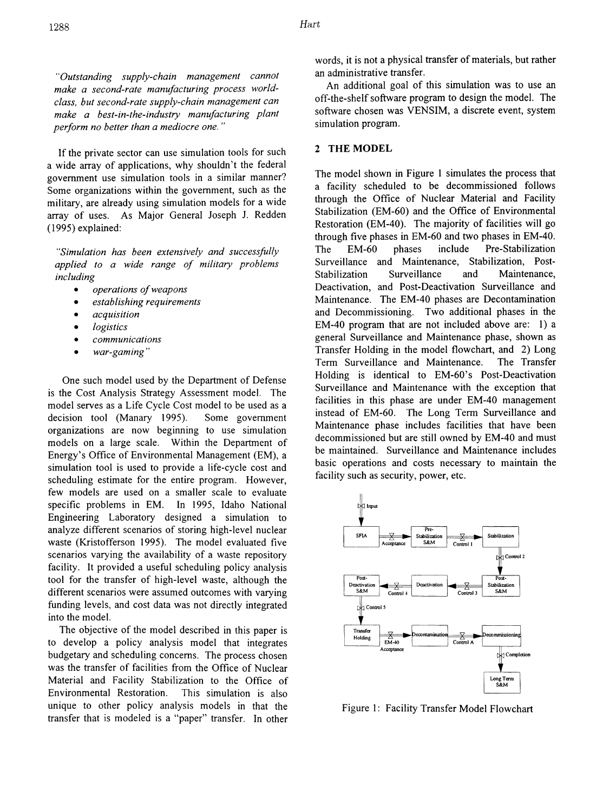*HOutstanding supply-chain management cannot make a second-rate manufacturing process worldclass, but second-rate supply-chain management can make a best-in-the-industry manufacturing plant perform no better than a mediocre one. "*

If the private sector can use simulation tools for such a wide array of applications, why shouldn't the federal government use simulation tools in a similar manner? Some organizations within the government, such as the military, are already using simulation models for a wide array of uses. As Major General Joseph 1. Redden (1995) explained:

*USimulation has been extensively and successfully applied to a wide range of nlilitary problems including*

- *• operations ofweapons*
- *• establishing requirements*
- *• acquisition*
- *• logistics*
- *• communications*
- *• war-gaming*

One such model used by the Department of Defense is the Cost Analysis Strategy Assessment model. The model serves as a Life Cycle Cost model to be used as a decision tool (Manary 1995). Some government organizations are now beginning to use simulation models on a large scale. Within the Department of Energy's Office of Environmental Management (EM), a simulation tool is used to provide a life-cycle cost and scheduling estimate for the entire program. However, few models are used on a smaller scale to evaluate specific problems in EM. In 1995, Idaho National Engineering Laboratory designed a simulation to analyze different scenarios of storing high-level nuclear waste (Kristofferson 1995). The model evaluated five scenarios varying the availability of a waste repository facility. It provided a useful scheduling policy analysis tool for the transfer of high-level waste, although the different scenarios were assumed outcomes with varying funding levels, and cost data was not directly integrated into the model.

The objective of the model described in this paper is to develop a policy analysis model that integrates budgetary and scheduling concerns. The process chosen was the transfer of facilities from the Office of Nuclear Material and Facility Stabilization to the Office of Environmental Restoration. This simulation is also unique to other policy analysis models in that the transfer that is modeled is a "paper" transfer. In other words, it is not a physical transfer of materials, but rather an administrative transfer.

An additional goal of this simulation was to use an off-the-shelf software program to design the model. The software chosen was VENSIM, a discrete event, system simulation program.

### 2 THE MODEL

The model shown in Figure 1 simulates the process that a facility scheduled to be decommissioned follows through the Office of Nuclear Material and Facility Stabilization (EM-60) and the Office of Environmental Restoration (EM-40). The majority of facilities will go through five phases in EM-60 and two phases in EM-40. The EM-60 phases include Pre-Stabilization Surveillance and Maintenance, Stabilization, Post-Stabilization Surveillance and Maintenance, Deactivation, and Post-Deactivation Surveillance and Maintenance. The EM-40 phases are Decontamination and Decommissioning. Two additional phases in the EM-40 program that are not included above are: 1) a general Surveillance and Maintenance phase, shown as Transfer Holding in the model flowchart, and 2) Long Term Surveillance and Maintenance. The Transfer Holding is identical to EM-60's Post-Deactivation Surveillance and Maintenance with the exception that facilities in this phase are under EM-40 management instead of EM-60. The Long Term Surveillance and Maintenance phase includes facilities that have been decommissioned but are still owned by EM-40 and must be maintained. Surveillance and Maintenance includes basic operations and costs necessary to maintain the facility such as security, power, etc.



Figure 1: Facility Transfer Model Flowchart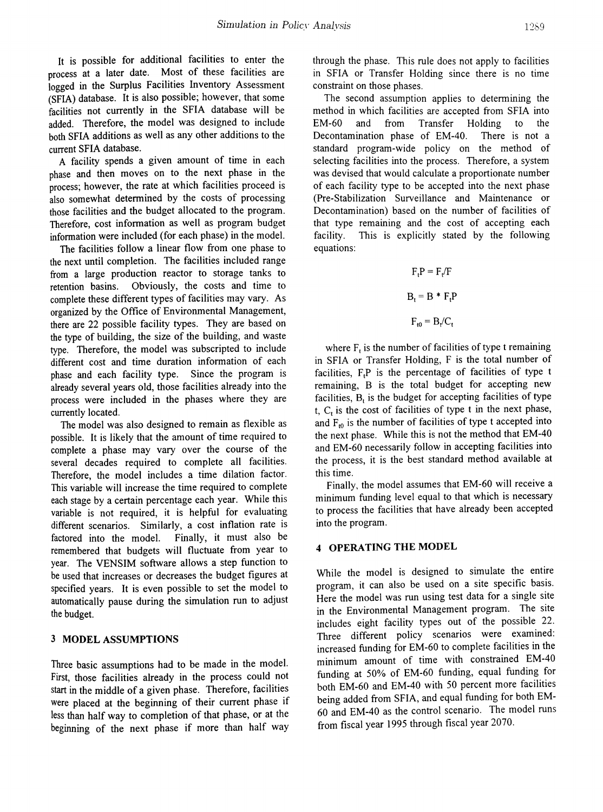It is possible for additional facilities to enter the process at a later date. Most of these facilities are logged in the Surplus Facilities Inventory Assessment (SFIA) database. It is also possible; however, that some facilities not currently in the SFIA database will be added. Therefore, the model was designed to include both SFIA additions as well as any other additions to the current SFIA database.

A facility spends a given amount of time in each phase and then moves on to the next phase in the process; however, the rate at which facilities proceed is also somewhat determined by the costs of processing those facilities and the budget allocated to the program. Therefore, cost information as well as program budget information were included (for each phase) in the model.

The facilities follow a linear flow from one phase to the next until completion. The facilities included range from a large production reactor to storage tanks to retention basins. Obviously, the costs and time to complete these different types of facilities may vary. As organized by the Office of Environmental Management, there are 22 possible facility types. They are based on the type of building, the size of the building, and waste type. Therefore, the model was subscripted to include different cost and time duration information of each phase and each facility type. Since the program is already several years old, those facilities already into the process were included in the phases where they are currently located.

The model was also designed to remain as flexible as possible. It is likely that the amount of time required to complete a phase may vary over the course of the several decades required to complete all facilities. Therefore, the model includes a time dilation factor. This variable will increase the time required to complete each stage by a certain percentage each year. While this variable is not required, it is helpful for evaluating different scenarios. Similarly, a cost inflation rate is factored into the model. Finally, it must also be remembered that budgets will fluctuate from year to year. The VENSIM software allows a step function to be used that increases or decreases the budget figures at specified years. It is even possible to set the model to automatically pause during the simulation run to adjust the budget.

# 3 MODEL ASSUMPTIONS

Three basic assumptions had to be made in the model. First, those facilities already in the process could not start in the middle of a given phase. Therefore, facilities were placed at the beginning of their current phase if less than half way to completion of that phase, or at the beginning of the next phase if more than half way

through the phase. This rule does not apply to facilities in SFIA or Transfer Holding since there is no time constraint on those phases.

The second assumption applies to determining the method in which facilities are accepted from SFIA into EM-60 and from Transfer Holding to the Decontamination phase of EM-40. There is not a standard program-wide policy on the method of selecting facilities into the process. Therefore, a system was devised that would calculate a proportionate number of each facility type to be accepted into the next phase (Pre-Stabilization Surveillance and Maintenance or Decontamination) based on the number of facilities of that type remaining and the cost of accepting each facility. This is explicitly stated by the following equations:

$$
F_t P = F_t / F
$$

$$
B_t = B * F_t P
$$

$$
F_{t0} = B / C.
$$

where  $F<sub>t</sub>$  is the number of facilities of type t remaining in SFIA or Transfer Holding, F is the total number of facilities,  $F_t$ P is the percentage of facilities of type t remaining, B is the total budget for accepting new facilities,  $B_t$  is the budget for accepting facilities of type t,  $C_t$  is the cost of facilities of type t in the next phase, and  $F_{t0}$  is the number of facilities of type t accepted into the next phase. While this is not the method that EM-40 and EM-60 necessarily follow in accepting facilities into the process, it is the best standard method available at this time.

Finally, the model assumes that EM-60 will receive a minimum funding level equal to that which is necessary to process the facilities that have already been accepted into the program.

#### 4 OPERATING THE MODEL

While the model is designed to simulate the entire program, it can also be used on a site specific basis. Here the model was run using test data for a single site in the Environmental Management program. The site includes eight facility types out of the possible 22. Three different policy scenarios were examined: increased funding for EM-60 to complete facilities in the minimum amount of time with constrained EM-40 funding at 50% of EM-60 funding, equal funding for both EM-60 and EM-40 with 50 percent more facilities being added from SFIA, and equal funding for both EM-60 and EM-40 as the control scenario. The model runs from fiscal year 1995 through fiscal year 2070.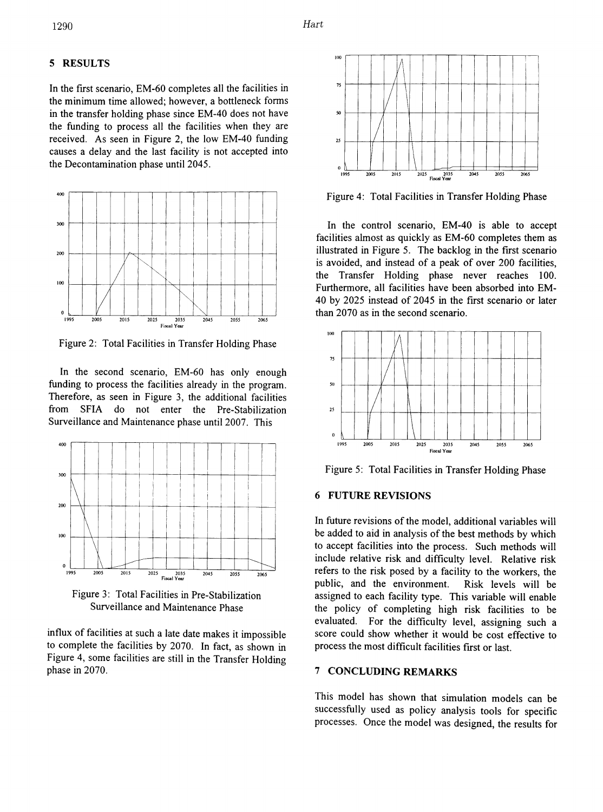### 5 RESULTS

In the first scenario, EM-60 completes all the facilities in <sup>75</sup> the minimum time allowed; however, a bottleneck forms in the transfer holding phase since EM-40 does not have the funding to process all the facilities when they are received. As seen in Figure 2, the low EM-40 funding causes a delay and the last facility is not accepted into the Decontamination phase until 2045.



Figure 2: Total Facilities in Transfer Holding Phase

In the second scenario, EM-60 has only enough funding to process the facilities already in the program. Therefore, as seen in Figure 3, the additional facilities from SFIA do not enter the Pre-Stabilization Surveillance and Maintenance phase until 2007. This



Figure 3: Total Facilities in Pre-Stabilization Surveillance and Maintenance Phase

influx of facilities at such a late date makes it impossible to complete the facilities by 2070. In fact, as shown in Figure 4, some facilities are still in the Transfer Holding phase in 2070.



Figure 4: Total Facilities in Transfer Holding Phase

In the control scenario, EM-40 is able to accept facilities almost as quickly as EM-60 completes them as illustrated in Figure 5. The backlog in the frrst scenario is avoided, and instead of a peak of over 200 facilities, the Transfer Holding phase never reaches 100. Furthermore, all facilities have been absorbed into EM-40 by 2025 instead of 2045 in the frrst scenario or later than 2070 as in the second scenario.



Figure 5: Total Facilities in Transfer Holding Phase

# 6 FUTURE REVISIONS

In future revisions of the model, additional variables will be added to aid in analysis of the best methods by which to accept facilities into the process. Such methods will include relative risk and difficulty level. Relative risk refers to the risk posed by a facility to the workers, the public, and the environment. Risk levels will be assigned to each facility type. This variable will enable the policy of completing high risk facilities to be evaluated. For the difficulty level, assigning such a score could show whether it would be cost effective to process the most difficult facilities frrst or last.

### 7 CONCLUDING REMARKS

This model has shown that simulation models can be successfully used as policy analysis tools for specific processes. Once the model was designed, the results for